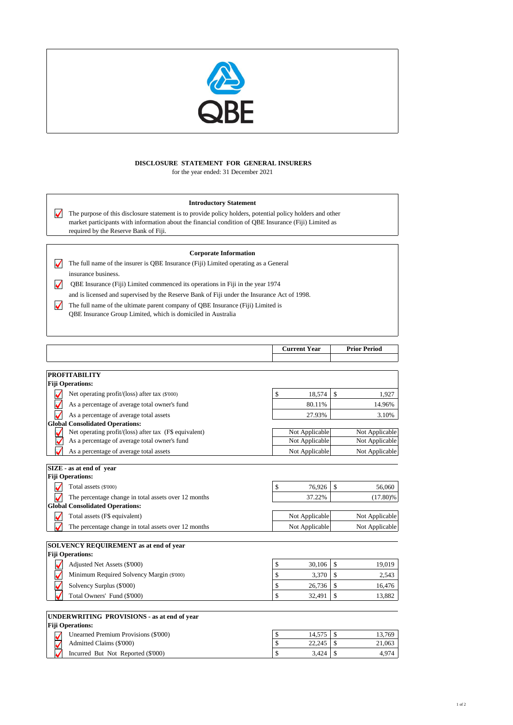

# **DISCLOSURE STATEMENT FOR GENERAL INSURERS** for the year ended: 31 December 2021

# **Introductory Statement**

 $\blacktriangledown$ The purpose of this disclosure statement is to provide policy holders, potential policy holders and other market participants with information about the financial condition of QBE Insurance (Fiji) Limited as required by the Reserve Bank of Fiji.

### **Corporate Information**

The full name of the insurer is QBE Insurance (Fiji) Limited operating as a General  $\overline{\blacktriangleleft}$ insurance business.

 QBE Insurance (Fiji) Limited commenced its operations in Fiji in the year 1974  $\blacktriangledown$ and is licensed and supervised by the Reserve Bank of Fiji under the Insurance Act of 1998.

The full name of the ultimate parent company of QBE Insurance (Fiji) Limited is  $\blacktriangledown$ QBE Insurance Group Limited, which is domiciled in Australia

|                         | <b>Current Year</b> | <b>Prior Period</b> |  |
|-------------------------|---------------------|---------------------|--|
|                         |                     |                     |  |
|                         |                     |                     |  |
| <b>PROFITABILITY</b>    |                     |                     |  |
| <b>Fiji Operations:</b> |                     |                     |  |

| Net operating profit/(loss) after tax (\$'000)         | \$                                                                | 18,574 | \$                                                 | 1,927          |
|--------------------------------------------------------|-------------------------------------------------------------------|--------|----------------------------------------------------|----------------|
| As a percentage of average total owner's fund          |                                                                   | 80.11% |                                                    | 14.96%         |
| As a percentage of average total assets                |                                                                   | 27.93% |                                                    | 3.10%          |
| <b>Global Consolidated Operations:</b>                 |                                                                   |        |                                                    |                |
| Net operating profit/(loss) after tax (F\$ equivalent) |                                                                   |        |                                                    | Not Applicable |
| As a percentage of average total owner's fund          |                                                                   |        |                                                    | Not Applicable |
| As a percentage of average total assets                |                                                                   |        |                                                    | Not Applicable |
| SIZE - as at end of year                               |                                                                   |        |                                                    |                |
| <b>Fiji Operations:</b>                                |                                                                   |        |                                                    |                |
| Total assets (\$'000)                                  | \$                                                                | 76,926 | \$                                                 | 56,060         |
| The percentage change in total assets over 12 months   |                                                                   | 37.22% |                                                    | $(17.80)\%$    |
| <b>Global Consolidated Operations:</b>                 |                                                                   |        |                                                    |                |
| Total assets (F\$ equivalent)                          | Not Applicable                                                    |        |                                                    | Not Applicable |
| The percentage change in total assets over 12 months   |                                                                   |        |                                                    | Not Applicable |
|                                                        |                                                                   |        |                                                    |                |
|                                                        |                                                                   |        |                                                    |                |
|                                                        |                                                                   |        |                                                    |                |
| Adjusted Net Assets (\$'000)                           | \$                                                                | 30,106 | \$                                                 | 19,019         |
| Minimum Required Solvency Margin (\$'000)              | \$                                                                | 3,370  | \$                                                 | 2,543          |
| Solvency Surplus (\$'000)                              | \$                                                                | 26,736 | \$                                                 | 16,476         |
| Total Owners' Fund (\$'000)                            | \$                                                                | 32,491 | \$                                                 | 13,882         |
|                                                        | SOLVENCY REQUIREMENT as at end of year<br><b>Fiji Operations:</b> |        | Not Applicable<br>Not Applicable<br>Not Applicable | Not Applicable |

#### **UNDERWRITING PROVISIONS - as at end of year**

| <b>Fiji Operations:</b>              |        |        |
|--------------------------------------|--------|--------|
| Unearned Premium Provisions (\$'000) | 14.575 | 13.769 |
| Admitted Claims (\$'000)             | 22,245 | 21,063 |
| Incurred But Not Reported (\$'000)   | 3.424  | 4.974  |